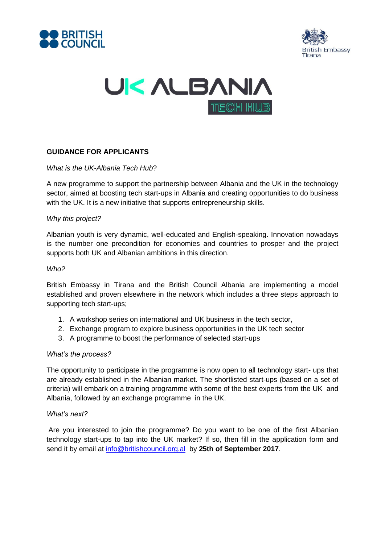





# **GUIDANCE FOR APPLICANTS**

### *What is the UK-Albania Tech Hub*?

A new programme to support the partnership between Albania and the UK in the technology sector, aimed at boosting tech start-ups in Albania and creating opportunities to do business with the UK. It is a new initiative that supports entrepreneurship skills.

### *Why this project?*

Albanian youth is very dynamic, well-educated and English-speaking. Innovation nowadays is the number one precondition for economies and countries to prosper and the project supports both UK and Albanian ambitions in this direction.

#### *Who?*

British Embassy in Tirana and the British Council Albania are implementing a model established and proven elsewhere in the network which includes a three steps approach to supporting tech start-ups;

- 1. A workshop series on international and UK business in the tech sector,
- 2. Exchange program to explore business opportunities in the UK tech sector
- 3. A programme to boost the performance of selected start-ups

#### *What's the process?*

The opportunity to participate in the programme is now open to all technology start- ups that are already established in the Albanian market. The shortlisted start-ups (based on a set of criteria) will embark on a training programme with some of the best experts from the UK and Albania, followed by an exchange programme in the UK.

#### *What's next?*

Are you interested to join the programme? Do you want to be one of the first Albanian technology start-ups to tap into the UK market? If so, then fill in the application form and send it by email at [info@britishcouncil.org.al](mailto:info@britishcouncil.org.al) by **25th of September 2017**.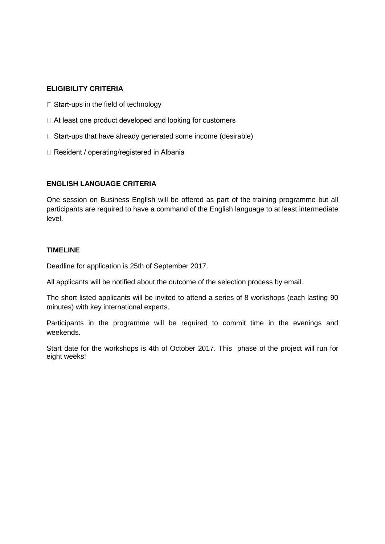# **ELIGIBILITY CRITERIA**

- $\Box$  Start-ups in the field of technology
- □ At least one product developed and looking for customers
- $\Box$  Start-ups that have already generated some income (desirable)
- □ Resident / operating/registered in Albania

# **ENGLISH LANGUAGE CRITERIA**

One session on Business English will be offered as part of the training programme but all participants are required to have a command of the English language to at least intermediate level.

## **TIMELINE**

Deadline for application is 25th of September 2017.

All applicants will be notified about the outcome of the selection process by email.

The short listed applicants will be invited to attend a series of 8 workshops (each lasting 90 minutes) with key international experts.

Participants in the programme will be required to commit time in the evenings and weekends.

Start date for the workshops is 4th of October 2017. This phase of the project will run for eight weeks!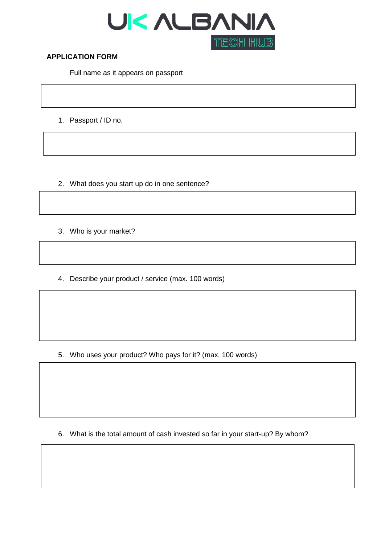

### **APPLICATION FORM**

Full name as it appears on passport

1. Passport / ID no.

- 2. What does you start up do in one sentence?
- 3. Who is your market?
- 4. Describe your product / service (max. 100 words)

5. Who uses your product? Who pays for it? (max. 100 words)

6. What is the total amount of cash invested so far in your start-up? By whom?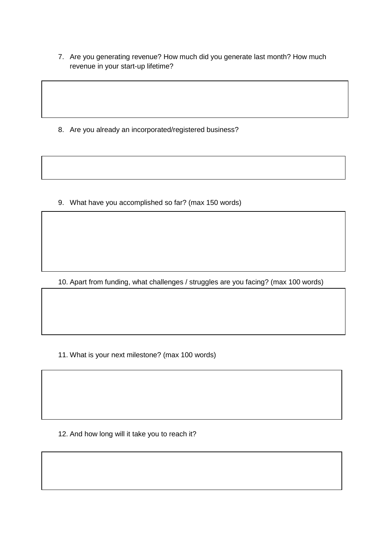7. Are you generating revenue? How much did you generate last month? How much revenue in your start-up lifetime?

8. Are you already an incorporated/registered business?

9. What have you accomplished so far? (max 150 words)

10. Apart from funding, what challenges / struggles are you facing? (max 100 words)

11. What is your next milestone? (max 100 words)

12. And how long will it take you to reach it?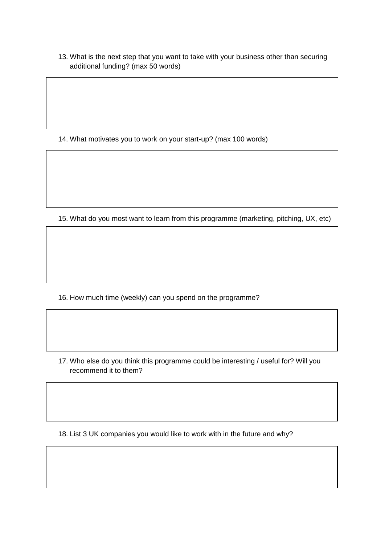13. What is the next step that you want to take with your business other than securing additional funding? (max 50 words)

14. What motivates you to work on your start-up? (max 100 words)

15. What do you most want to learn from this programme (marketing, pitching, UX, etc)

16. How much time (weekly) can you spend on the programme?

17. Who else do you think this programme could be interesting / useful for? Will you recommend it to them?

18. List 3 UK companies you would like to work with in the future and why?